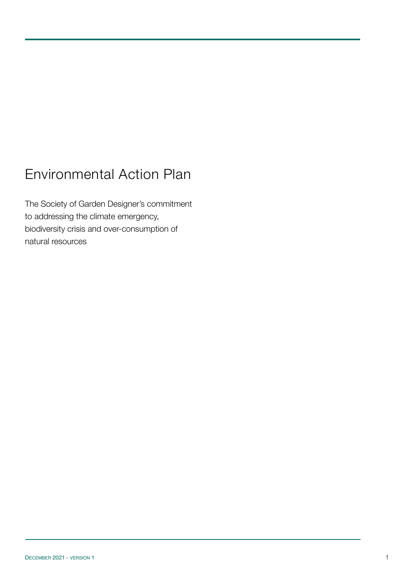# Environmental Action Plan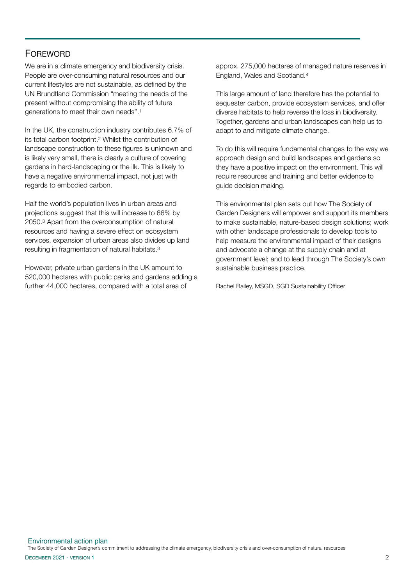## **FOREWORD**

We are in a climate emergency and biodiversity crisis. People are over-consuming natural resources and our current lifestyles are not sustainable, as defined by the UN Brundtland Commission "meeting the needs of the present without compromising the ability of future generations to meet their own needs".1

In the UK, the construction industry contributes 6.7% of its total carbon footprint.2 Whilst the contribution of landscape construction to these figures is unknown and is likely very small, there is clearly a culture of covering gardens in hard-landscaping or the ilk. This is likely to have a negative environmental impact, not just with regards to embodied carbon.

Half the world's population lives in urban areas and projections suggest that this will increase to 66% by 2050.3 Apart from the overconsumption of natural resources and having a severe effect on ecosystem services, expansion of urban areas also divides up land resulting in fragmentation of natural habitats.3

However, private urban gardens in the UK amount to 520,000 hectares with public parks and gardens adding a further 44,000 hectares, compared with a total area of

approx. 275,000 hectares of managed nature reserves in England, Wales and Scotland.<sup>4</sup>

This large amount of land therefore has the potential to sequester carbon, provide ecosystem services, and offer diverse habitats to help reverse the loss in biodiversity. Together, gardens and urban landscapes can help us to adapt to and mitigate climate change.

To do this will require fundamental changes to the way we approach design and build landscapes and gardens so they have a positive impact on the environment. This will require resources and training and better evidence to guide decision making.

This environmental plan sets out how The Society of Garden Designers will empower and support its members to make sustainable, nature-based design solutions; work with other landscape professionals to develop tools to help measure the environmental impact of their designs and advocate a change at the supply chain and at government level; and to lead through The Society's own sustainable business practice.

Rachel Bailey, MSGD, SGD Sustainability Officer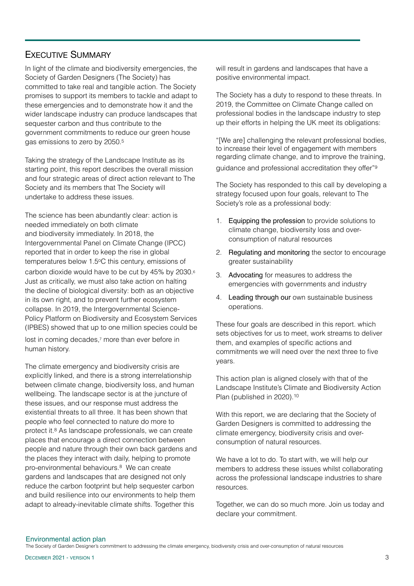## EXECUTIVE SUMMARY

In light of the climate and biodiversity emergencies, the Society of Garden Designers (The Society) has committed to take real and tangible action. The Society promises to support its members to tackle and adapt to these emergencies and to demonstrate how it and the wider landscape industry can produce landscapes that sequester carbon and thus contribute to the government commitments to reduce our green house gas emissions to zero by 2050.5

Taking the strategy of the Landscape Institute as its starting point, this report describes the overall mission and four strategic areas of direct action relevant to The Society and its members that The Society will undertake to address these issues.

The science has been abundantly clear: action is needed immediately on both climate and biodiversity immediately. In 2018, the Intergovernmental Panel on Climate Change (IPCC) reported that in order to keep the rise in global temperatures below 1.5°C this century, emissions of carbon dioxide would have to be cut by 45% by 2030.6 Just as critically, we must also take action on halting the decline of biological diversity: both as an objective in its own right, and to prevent further ecosystem collapse. In 2019, the Intergovernmental Science-Policy Platform on Biodiversity and Ecosystem Services (IPBES) showed that up to one million species could be

lost in coming decades,<sup>7</sup> more than ever before in human history.

The climate emergency and biodiversity crisis are explicitly linked, and there is a strong interrelationship between climate change, biodiversity loss, and human wellbeing. The landscape sector is at the juncture of these issues, and our response must address the existential threats to all three. It has been shown that people who feel connected to nature do more to protect it.8 As landscape professionals, we can create places that encourage a direct connection between people and nature through their own back gardens and the places they interact with daily, helping to promote pro-environmental behaviours.8 We can create gardens and landscapes that are designed not only reduce the carbon footprint but help sequester carbon and build resilience into our environments to help them adapt to already-inevitable climate shifts. Together this

will result in gardens and landscapes that have a positive environmental impact.

The Society has a duty to respond to these threats. In 2019, the Committee on Climate Change called on professional bodies in the landscape industry to step up their efforts in helping the UK meet its obligations:

"[We are] challenging the relevant professional bodies, to increase their level of engagement with members regarding climate change, and to improve the training,

guidance and professional accreditation they offer"9

The Society has responded to this call by developing a strategy focused upon four goals, relevant to The Society's role as a professional body:

- 1. Equipping the profession to provide solutions to climate change, biodiversity loss and overconsumption of natural resources
- 2. Regulating and monitoring the sector to encourage greater sustainability
- 3. Advocating for measures to address the emergencies with governments and industry
- 4. Leading through our own sustainable business operations.

These four goals are described in this report. which sets objectives for us to meet, work streams to deliver them, and examples of specific actions and commitments we will need over the next three to five years.

This action plan is aligned closely with that of the Landscape Institute's Climate and Biodiversity Action Plan (published in 2020).<sup>10</sup>

With this report, we are declaring that the Society of Garden Designers is committed to addressing the climate emergency, biodiversity crisis and overconsumption of natural resources.

We have a lot to do. To start with, we will help our members to address these issues whilst collaborating across the professional landscape industries to share resources.

Together, we can do so much more. Join us today and declare your commitment.

#### Environmental action plan

The Society of Garden Designer's commitment to addressing the climate emergency, biodiversity crisis and over-consumption of natural resources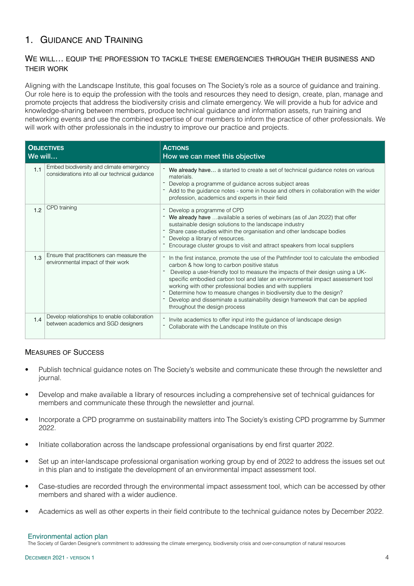## 1. GUIDANCE AND TRAINING

### WE WILL… EQUIP THE PROFESSION TO TACKLE THESE EMERGENCIES THROUGH THEIR BUSINESS AND THEIR WORK

Aligning with the Landscape Institute, this goal focuses on The Society's role as a source of guidance and training. Our role here is to equip the profession with the tools and resources they need to design, create, plan, manage and promote projects that address the biodiversity crisis and climate emergency. We will provide a hub for advice and knowledge-sharing between members, produce technical guidance and information assets, run training and networking events and use the combined expertise of our members to inform the practice of other professionals. We will work with other professionals in the industry to improve our practice and projects.

| <b>OBJECTIVES</b><br>We will |                                                                                            | <b>ACTIONS</b><br>How we can meet this objective                                                                                                                                                                                                                                                                                                                                                                                                                                                                                                                   |
|------------------------------|--------------------------------------------------------------------------------------------|--------------------------------------------------------------------------------------------------------------------------------------------------------------------------------------------------------------------------------------------------------------------------------------------------------------------------------------------------------------------------------------------------------------------------------------------------------------------------------------------------------------------------------------------------------------------|
| 1.1                          | Embed biodiversity and climate emergency<br>considerations into all our technical guidance | We already have a started to create a set of technical guidance notes on various<br>materials.<br>Develop a programme of guidance across subject areas<br>Add to the guidance notes - some in house and others in collaboration with the wider<br>profession, academics and experts in their field                                                                                                                                                                                                                                                                 |
| 1.2                          | CPD training                                                                               | Develop a programme of CPD<br>We already have available a series of webinars (as of Jan 2022) that offer<br>sustainable design solutions to the landscape industry<br>Share case-studies within the organisation and other landscape bodies<br>Develop a library of resources.<br>Encourage cluster groups to visit and attract speakers from local suppliers                                                                                                                                                                                                      |
| 1.3                          | Ensure that practitioners can measure the<br>environmental impact of their work            | In the first instance, promote the use of the Pathfinder tool to calculate the embodied<br>carbon & how long to carbon positive status<br>Develop a user-friendly tool to measure the impacts of their design using a UK-<br>specific embodied carbon tool and later an environmental impact assessment tool<br>working with other professional bodies and with suppliers<br>Determine how to measure changes in biodiversity due to the design?<br>Develop and disseminate a sustainability design framework that can be applied<br>throughout the design process |
| 1.4                          | Develop relationships to enable collaboration<br>between academics and SGD designers       | Invite academics to offer input into the guidance of landscape design<br>Collaborate with the Landscape Institute on this                                                                                                                                                                                                                                                                                                                                                                                                                                          |

### MEASURES OF SUCCESS

- Publish technical guidance notes on The Society's website and communicate these through the newsletter and journal.
- Develop and make available a library of resources including a comprehensive set of technical guidances for members and communicate these through the newsletter and journal.
- Incorporate a CPD programme on sustainability matters into The Society's existing CPD programme by Summer 2022.
- Initiate collaboration across the landscape professional organisations by end first quarter 2022.
- Set up an inter-landscape professional organisation working group by end of 2022 to address the issues set out in this plan and to instigate the development of an environmental impact assessment tool.
- Case-studies are recorded through the environmental impact assessment tool, which can be accessed by other members and shared with a wider audience.
- Academics as well as other experts in their field contribute to the technical guidance notes by December 2022.

#### Environmental action plan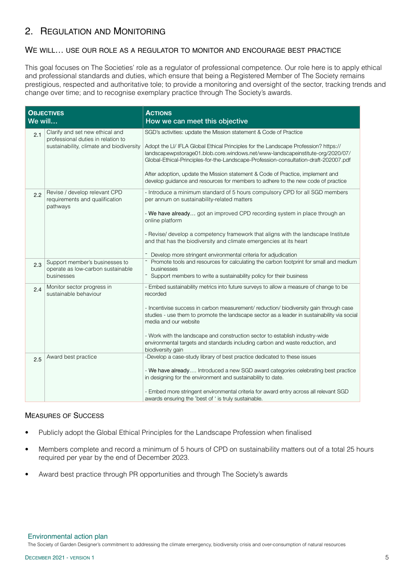## 2. REGULATION AND MONITORING

### WE WILL… USE OUR ROLE AS A REGULATOR TO MONITOR AND ENCOURAGE BEST PRACTICE

This goal focuses on The Societies' role as a regulator of professional competence. Our role here is to apply ethical and professional standards and duties, which ensure that being a Registered Member of The Society remains prestigious, respected and authoritative tole; to provide a monitoring and oversight of the sector, tracking trends and change over time; and to recognise exemplary practice through The Society's awards.

| <b>OBJECTIVES</b><br>We will |                                                                                                                   | <b>ACTIONS</b><br>How we can meet this objective                                                                                                                                                                                                                                                                                                                                                                                                                                                         |
|------------------------------|-------------------------------------------------------------------------------------------------------------------|----------------------------------------------------------------------------------------------------------------------------------------------------------------------------------------------------------------------------------------------------------------------------------------------------------------------------------------------------------------------------------------------------------------------------------------------------------------------------------------------------------|
| 2.1                          | Clarify and set new ethical and<br>professional duties in relation to<br>sustainability, climate and biodiversity | SGD's activities: update the Mission statement & Code of Practice<br>Adopt the LI/ IFLA Global Ethical Principles for the Landscape Profession? https://<br>landscapewpstorage01.blob.core.windows.net/www-landscapeinstitute-org/2020/07/<br>Global-Ethical-Principles-for-the-Landscape-Profession-consultation-draft-202007.pdf<br>After adoption, update the Mission statement & Code of Practice, implement and<br>develop guidance and resources for members to adhere to the new code of practice |
| 2.2                          | Revise / develop relevant CPD<br>requirements and qualification<br>pathways                                       | - Introduce a minimum standard of 5 hours compulsory CPD for all SGD members<br>per annum on sustainability-related matters<br>- We have already got an improved CPD recording system in place through an<br>online platform<br>- Revise/ develop a competency framework that aligns with the landscape Institute<br>and that has the biodiversity and climate emergencies at its heart<br>Develop more stringent environmental criteria for adjudication                                                |
| 2.3                          | Support member's businesses to<br>operate as low-carbon sustainable<br>businesses                                 | - Promote tools and resources for calculating the carbon footprint for small and medium<br>businesses<br>- Support members to write a sustainability policy for their business                                                                                                                                                                                                                                                                                                                           |
| 2.4                          | Monitor sector progress in<br>sustainable behaviour                                                               | - Embed sustainability metrics into future surveys to allow a measure of change to be<br>recorded<br>- Incentivise success in carbon measurement/reduction/biodiversity gain through case<br>studies - use them to promote the landscape sector as a leader in sustainability via social<br>media and our website<br>- Work with the landscape and construction sector to establish industry-wide<br>environmental targets and standards including carbon and waste reduction, and<br>biodiversity gain  |
| 2.5                          | Award best practice                                                                                               | -Develop a case-study library of best practice dedicated to these issues<br>- We have already Introduced a new SGD award categories celebrating best practice<br>in designing for the environment and sustainability to date.<br>- Embed more stringent environmental criteria for award entry across all relevant SGD<br>awards ensuring the 'best of ' is truly sustainable.                                                                                                                           |

#### MEASURES OF SUCCESS

- Publicly adopt the Global Ethical Principles for the Landscape Profession when finalised
- Members complete and record a minimum of 5 hours of CPD on sustainability matters out of a total 25 hours required per year by the end of December 2023.
- Award best practice through PR opportunities and through The Society's awards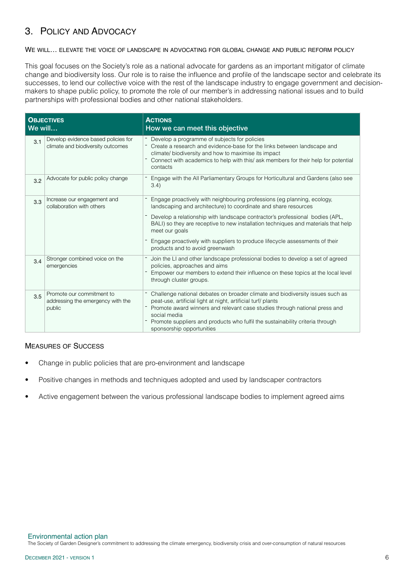## 3. POLICY AND ADVOCACY

#### WE WILL… ELEVATE THE VOICE OF LANDSCAPE IN ADVOCATING FOR GLOBAL CHANGE AND PUBLIC REFORM POLICY

This goal focuses on the Society's role as a national advocate for gardens as an important mitigator of climate change and biodiversity loss. Our role is to raise the influence and profile of the landscape sector and celebrate its successes, to lend our collective voice with the rest of the landscape industry to engage government and decisionmakers to shape public policy, to promote the role of our member's in addressing national issues and to build partnerships with professional bodies and other national stakeholders.

| <b>OBJECTIVES</b><br>We will |                                                                          | <b>ACTIONS</b><br>How we can meet this objective                                                                                                                                                                                                                                                                                                                                                                                                     |
|------------------------------|--------------------------------------------------------------------------|------------------------------------------------------------------------------------------------------------------------------------------------------------------------------------------------------------------------------------------------------------------------------------------------------------------------------------------------------------------------------------------------------------------------------------------------------|
| 3.1                          | Develop evidence based policies for<br>climate and biodiversity outcomes | - Develop a programme of subjects for policies<br>Create a research and evidence-base for the links between landscape and<br>climate/ biodiversity and how to maximise its impact<br>Connect with academics to help with this/ ask members for their help for potential<br>contacts                                                                                                                                                                  |
| 3.2                          | Advocate for public policy change                                        | Engage with the All Parliamentary Groups for Horticultural and Gardens (also see<br>3.4)                                                                                                                                                                                                                                                                                                                                                             |
| 3.3                          | Increase our engagement and<br>collaboration with others                 | Engage proactively with neighbouring professions (eg planning, ecology,<br>landscaping and architecture) to coordinate and share resources<br>Develop a relationship with landscape contractor's professional bodies (APL,<br>BALI) so they are receptive to new installation techniques and materials that help<br>meet our goals<br>Engage proactively with suppliers to produce lifecycle assessments of their<br>products and to avoid greenwash |
| 3.4                          | Stronger combined voice on the<br>emergencies                            | Join the LI and other landscape professional bodies to develop a set of agreed<br>policies, approaches and aims<br>Empower our members to extend their influence on these topics at the local level<br>through cluster groups.                                                                                                                                                                                                                       |
| 3.5                          | Promote our commitment to<br>addressing the emergency with the<br>public | Challenge national debates on broader climate and biodiversity issues such as<br>peat-use, artificial light at night, artificial turf/ plants<br>Promote award winners and relevant case studies through national press and<br>social media<br>Promote suppliers and products who fulfil the sustainability criteria through<br>sponsorship opportunities                                                                                            |

#### MEASURES OF SUCCESS

- Change in public policies that are pro-environment and landscape
- Positive changes in methods and techniques adopted and used by landscaper contractors
- Active engagement between the various professional landscape bodies to implement agreed aims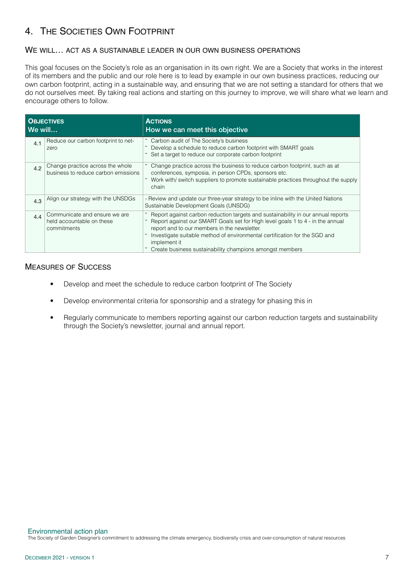# 4. THE SOCIETIES OWN FOOTPRINT

### WE WILL… ACT AS A SUSTAINABLE LEADER IN OUR OWN BUSINESS OPERATIONS

This goal focuses on the Society's role as an organisation in its own right. We are a Society that works in the interest of its members and the public and our role here is to lead by example in our own business practices, reducing our own carbon footprint, acting in a sustainable way, and ensuring that we are not setting a standard for others that we do not ourselves meet. By taking real actions and starting on this journey to improve, we will share what we learn and encourage others to follow.

| <b>OBJECTIVES</b><br>We will |                                                                           | <b>ACTIONS</b><br>How we can meet this objective                                                                                                                                                                                                                                                                                                                             |
|------------------------------|---------------------------------------------------------------------------|------------------------------------------------------------------------------------------------------------------------------------------------------------------------------------------------------------------------------------------------------------------------------------------------------------------------------------------------------------------------------|
| 4.1                          | Reduce our carbon footprint to net-<br>zero                               | - Carbon audit of The Society's business<br>Develop a schedule to reduce carbon footprint with SMART goals<br>Set a target to reduce our corporate carbon footprint                                                                                                                                                                                                          |
| 4.2                          | Change practice across the whole<br>business to reduce carbon emissions   | - Change practice across the business to reduce carbon footprint, such as at<br>conferences, symposia, in person CPDs, sponsors etc.<br>Work with / switch suppliers to promote sustainable practices throughout the supply<br>chain                                                                                                                                         |
| 4.3                          | Align our strategy with the UNSDGs                                        | - Review and update our three-year strategy to be inline with the United Nations<br>Sustainable Development Goals (UNSDG)                                                                                                                                                                                                                                                    |
| 4.4                          | Communicate and ensure we are<br>held accountable on these<br>commitments | Report against carbon reduction targets and sustainability in our annual reports<br>Report against our SMART Goals set for High level goals 1 to 4 - in the annual<br>report and to our members in the newsletter.<br>Investigate suitable method of environmental certification for the SGD and<br>implement it<br>Create business sustainability champions amongst members |

## MEASURES OF SUCCESS

- Develop and meet the schedule to reduce carbon footprint of The Society
- Develop environmental criteria for sponsorship and a strategy for phasing this in
- Regularly communicate to members reporting against our carbon reduction targets and sustainability through the Society's newsletter, journal and annual report.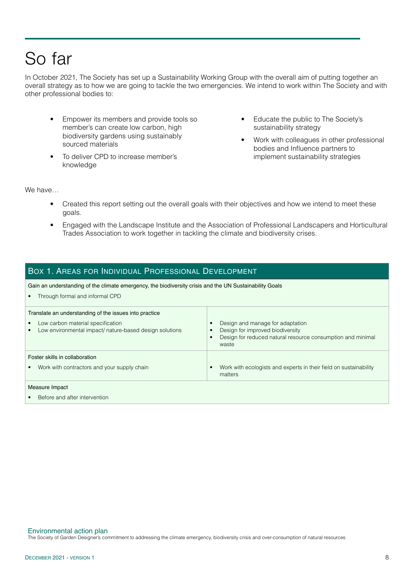# So far

In October 2021, The Society has set up a Sustainability Working Group with the overall aim of putting together an overall strategy as to how we are going to tackle the two emergencies. We intend to work within The Society and with other professional bodies to:

- Empower its members and provide tools so member's can create low carbon, high biodiversity gardens using sustainably sourced materials
- To deliver CPD to increase member's knowledge
- Educate the public to The Society's sustainability strategy
- Work with colleagues in other professional bodies and Influence partners to implement sustainability strategies

We have

- Created this report setting out the overall goals with their objectives and how we intend to meet these goals.
- Engaged with the Landscape Institute and the Association of Professional Landscapers and Horticultural Trades Association to work together in tackling the climate and biodiversity crises.

### BOX 1. AREAS FOR INDIVIDUAL PROFESSIONAL DEVELOPMENT

Gain an understanding of the climate emergency, the biodiversity crisis and the UN Sustainability Goals

• Through formal and informal CPD

| Translate an understanding of the issues into practice<br>Low carbon material specification<br>Low environmental impact/ nature-based design solutions | Design and manage for adaptation<br>Design for improved biodiversity<br>Design for reduced natural resource consumption and minimal<br>waste |  |
|--------------------------------------------------------------------------------------------------------------------------------------------------------|----------------------------------------------------------------------------------------------------------------------------------------------|--|
| Foster skills in collaboration<br>Work with contractors and your supply chain                                                                          | Work with ecologists and experts in their field on sustainability<br>matters                                                                 |  |
| Measure Impact<br>Before and after intervention                                                                                                        |                                                                                                                                              |  |
|                                                                                                                                                        |                                                                                                                                              |  |

#### Environmental action plan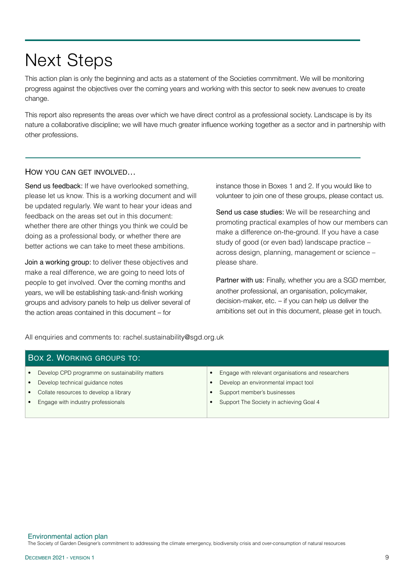# Next Steps

This action plan is only the beginning and acts as a statement of the Societies commitment. We will be monitoring progress against the objectives over the coming years and working with this sector to seek new avenues to create change.

This report also represents the areas over which we have direct control as a professional society. Landscape is by its nature a collaborative discipline; we will have much greater influence working together as a sector and in partnership with other professions.

#### HOW YOU CAN GET INVOLVED…

Send us feedback: If we have overlooked something, please let us know. This is a working document and will be updated regularly. We want to hear your ideas and feedback on the areas set out in this document: whether there are other things you think we could be doing as a professional body, or whether there are better actions we can take to meet these ambitions.

Join a working group: to deliver these objectives and make a real difference, we are going to need lots of people to get involved. Over the coming months and years, we will be establishing task-and-finish working groups and advisory panels to help us deliver several of the action areas contained in this document – for

instance those in Boxes 1 and 2. If you would like to volunteer to join one of these groups, please contact us.

Send us case studies: We will be researching and promoting practical examples of how our members can make a difference on-the-ground. If you have a case study of good (or even bad) landscape practice – across design, planning, management or science – please share.

Partner with us: Finally, whether you are a SGD member, another professional, an organisation, policymaker, decision-maker, etc. – if you can help us deliver the ambitions set out in this document, please get in touch.

All enquiries and comments to: rachel.sustainability@sgd.org.uk

| BOX 2. WORKING GROUPS TO:                       |                                                    |  |  |  |
|-------------------------------------------------|----------------------------------------------------|--|--|--|
| Develop CPD programme on sustainability matters | Engage with relevant organisations and researchers |  |  |  |
| Develop technical guidance notes                | Develop an environmental impact tool               |  |  |  |
| Collate resources to develop a library          | Support member's businesses                        |  |  |  |
| Engage with industry professionals              | Support The Society in achieving Goal 4            |  |  |  |
|                                                 |                                                    |  |  |  |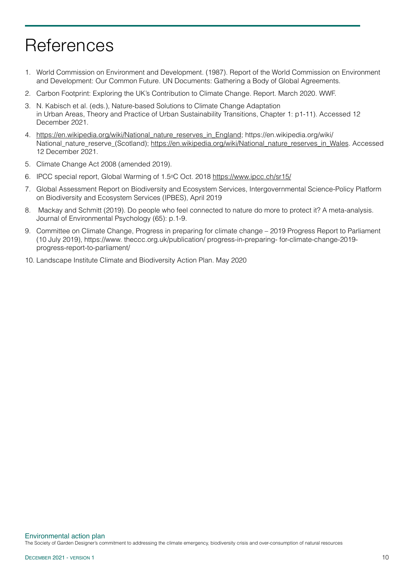# **References**

- 1. World Commission on Environment and Development. (1987). Report of the World Commission on Environment and Development: Our Common Future. UN Documents: Gathering a Body of Global Agreements.
- 2. Carbon Footprint: Exploring the UK's Contribution to Climate Change. Report. March 2020. WWF.
- 3. N. Kabisch et al. (eds.), Nature‐based Solutions to Climate Change Adaptation in Urban Areas, Theory and Practice of Urban Sustainability Transitions, Chapter 1: p1-11). Accessed 12 December 2021.
- 4. [https://en.wikipedia.org/wiki/National\\_nature\\_reserves\\_in\\_England](https://en.wikipedia.org/wiki/National_nature_reserves_in_England); https://en.wikipedia.org/wiki/ National\_nature\_reserve\_(Scotland); [https://en.wikipedia.org/wiki/National\\_nature\\_reserves\\_in\\_Wales](https://en.wikipedia.org/wiki/National_nature_reserves_in_Wales). Accessed 12 December 2021.
- 5. Climate Change Act 2008 (amended 2019).
- 6. IPCC special report, Global Warming of 1.5oC Oct. 2018 <https://www.ipcc.ch/sr15/>
- 7. Global Assessment Report on Biodiversity and Ecosystem Services, Intergovernmental Science-Policy Platform on Biodiversity and Ecosystem Services (IPBES), April 2019
- 8. Mackay and Schmitt (2019). Do people who feel connected to nature do more to protect it? A meta-analysis. Journal of Environmental Psychology (65): p.1-9.
- 9. Committee on Climate Change, Progress in preparing for climate change 2019 Progress Report to Parliament (10 July 2019), https://www. theccc.org.uk/publication/ progress-in-preparing- for-climate-change-2019 progress-report-to-parliament/
- 10. Landscape Institute Climate and Biodiversity Action Plan. May 2020